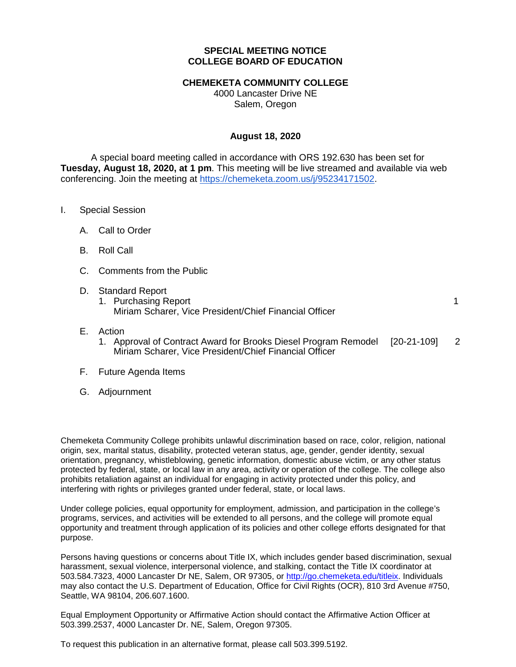### **SPECIAL MEETING NOTICE COLLEGE BOARD OF EDUCATION**

#### **CHEMEKETA COMMUNITY COLLEGE**

4000 Lancaster Drive NE Salem, Oregon

## **August 18, 2020**

A special board meeting called in accordance with ORS 192.630 has been set for **Tuesday, August 18, 2020, at 1 pm**. This meeting will be live streamed and available via web conferencing. Join the meeting at [https://chemeketa.zoom.us/j/95234171502.](https://chemeketa.zoom.us/j/95234171502)

- I. Special Session
	- A. Call to Order
	- B. Roll Call
	- C. Comments from the Public
	- D. Standard Report
		- 1. Purchasing Report 1 and 200 minutes and 200 minutes of the 1 and 200 minutes and 200 minutes and 200 minutes and 200 minutes and 200 minutes and 200 minutes and 200 minutes and 200 minutes and 200 minutes and 200 minute Miriam Scharer, Vice President/Chief Financial Officer

- E. Action
	- 1. Approval of Contract Award for Brooks Diesel Program Remodel [20-21-109] 2 Miriam Scharer, Vice President/Chief Financial Officer
- F. Future Agenda Items
- G. Adjournment

Chemeketa Community College prohibits unlawful discrimination based on race, color, religion, national origin, sex, marital status, disability, protected veteran status, age, gender, gender identity, sexual orientation, pregnancy, whistleblowing, genetic information, domestic abuse victim, or any other status protected by federal, state, or local law in any area, activity or operation of the college. The college also prohibits retaliation against an individual for engaging in activity protected under this policy, and interfering with rights or privileges granted under federal, state, or local laws.

Under college policies, equal opportunity for employment, admission, and participation in the college's programs, services, and activities will be extended to all persons, and the college will promote equal opportunity and treatment through application of its policies and other college efforts designated for that purpose.

Persons having questions or concerns about Title IX, which includes gender based discrimination, sexual harassment, sexual violence, interpersonal violence, and stalking, contact the Title IX coordinator at 503.584.7323, 4000 Lancaster Dr NE, Salem, OR 97305, or [http://go.chemeketa.edu/titleix.](http://go.chemeketa.edu/titleix) Individuals may also contact the U.S. Department of Education, Office for Civil Rights (OCR), 810 3rd Avenue #750, Seattle, WA 98104, 206.607.1600.

Equal Employment Opportunity or Affirmative Action should contact the Affirmative Action Officer at 503.399.2537, 4000 Lancaster Dr. NE, Salem, Oregon 97305.

To request this publication in an alternative format, please call 503.399.5192.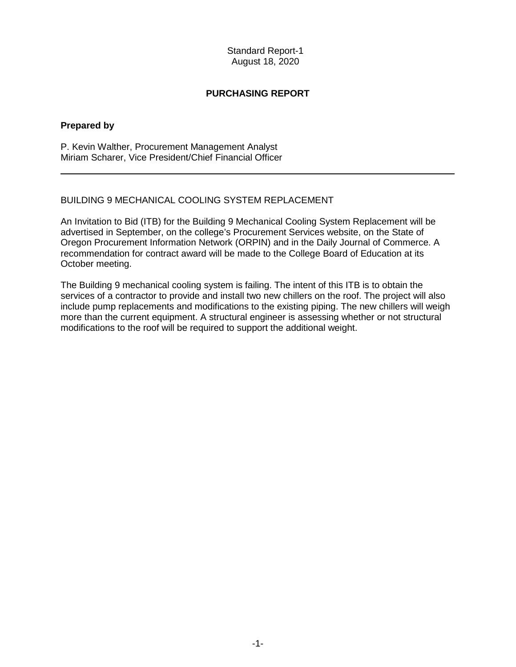Standard Report-1 August 18, 2020

# **PURCHASING REPORT**

#### **Prepared by**

P. Kevin Walther, Procurement Management Analyst Miriam Scharer, Vice President/Chief Financial Officer

#### BUILDING 9 MECHANICAL COOLING SYSTEM REPLACEMENT

An Invitation to Bid (ITB) for the Building 9 Mechanical Cooling System Replacement will be advertised in September, on the college's Procurement Services website, on the State of Oregon Procurement Information Network (ORPIN) and in the Daily Journal of Commerce. A recommendation for contract award will be made to the College Board of Education at its October meeting.

The Building 9 mechanical cooling system is failing. The intent of this ITB is to obtain the services of a contractor to provide and install two new chillers on the roof. The project will also include pump replacements and modifications to the existing piping. The new chillers will weigh more than the current equipment. A structural engineer is assessing whether or not structural modifications to the roof will be required to support the additional weight.